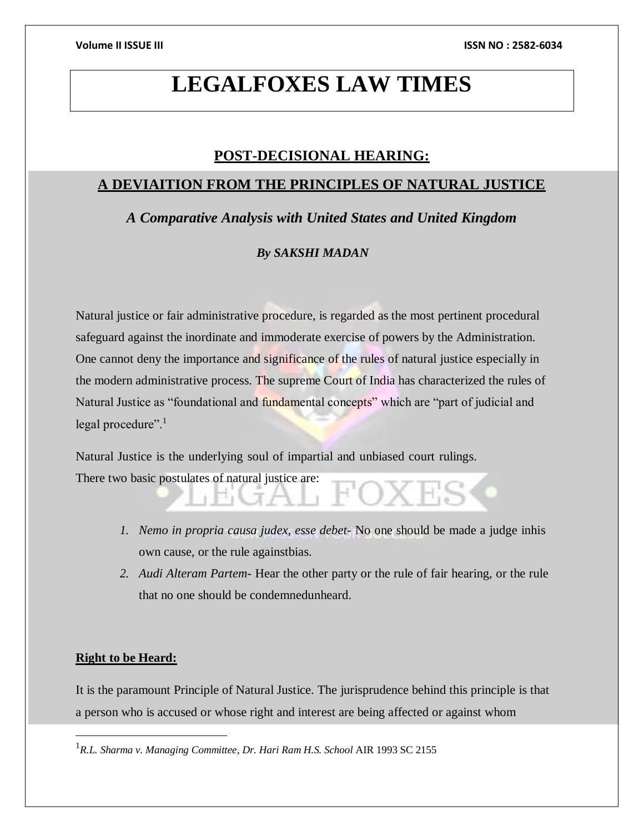# **LEGALFOXES LAW TIMES**

# **POST-DECISIONAL HEARING:**

# **A DEVIAITION FROM THE PRINCIPLES OF NATURAL JUSTICE**

*A Comparative Analysis with United States and United Kingdom*

## *By SAKSHI MADAN*

Natural justice or fair administrative procedure, is regarded as the most pertinent procedural safeguard against the inordinate and immoderate exercise of powers by the Administration. One cannot deny the importance and significance of the rules of natural justice especially in the modern administrative process. The supreme Court of India has characterized the rules of Natural Justice as "foundational and fundamental concepts" which are "part of judicial and legal procedure".<sup>1</sup>

Natural Justice is the underlying soul of impartial and unbiased court rulings. There two basic postulates of natural justice are:

- *1. Nemo in propria causa judex, esse debet-* No one should be made a judge inhis own cause, or the rule againstbias.
- *2. Audi Alteram Partem-* Hear the other party or the rule of fair hearing, or the rule that no one should be condemnedunheard.

# **Right to be Heard:**

 $\overline{\phantom{a}}$ 

It is the paramount Principle of Natural Justice. The jurisprudence behind this principle is that a person who is accused or whose right and interest are being affected or against whom

<sup>1</sup>*R.L. Sharma v. Managing Committee*, *Dr. Hari Ram H.S. School* AIR 1993 SC 2155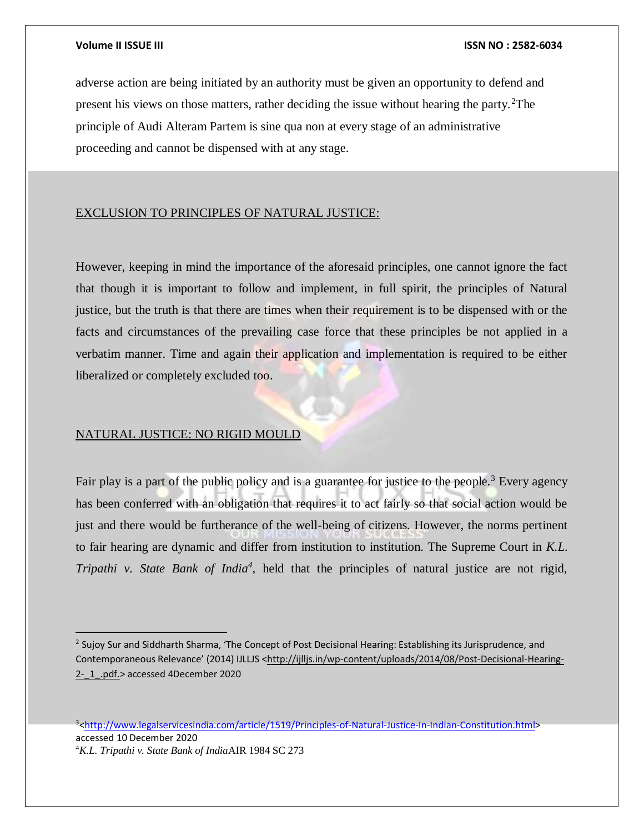adverse action are being initiated by an authority must be given an opportunity to defend and present his views on those matters, rather deciding the issue without hearing the party.<sup>2</sup>The principle of Audi Alteram Partem is sine qua non at every stage of an administrative proceeding and cannot be dispensed with at any stage.

## EXCLUSION TO PRINCIPLES OF NATURAL JUSTICE:

However, keeping in mind the importance of the aforesaid principles, one cannot ignore the fact that though it is important to follow and implement, in full spirit, the principles of Natural justice, but the truth is that there are times when their requirement is to be dispensed with or the facts and circumstances of the prevailing case force that these principles be not applied in a verbatim manner. Time and again their application and implementation is required to be either liberalized or completely excluded too.

## NATURAL JUSTICE: NO RIGID MOULD

Fair play is a part of the public policy and is a guarantee for justice to the people.<sup>3</sup> Every agency has been conferred with an obligation that requires it to act fairly so that social action would be just and there would be furtherance of the well-being of citizens. However, the norms pertinent to fair hearing are dynamic and differ from institution to institution. The Supreme Court in *K.L. Tripathi v. State Bank of India<sup>4</sup>*, held that the principles of natural justice are not rigid,

<sup>3</sup>[<http://www.legalservicesindia.com/article/1519/Principles-of-Natural-Justice-In-Indian-Constitution.html>](http://www.legalservicesindia.com/article/1519/Principles-of-Natural-Justice-In-Indian-Constitution.html) accessed 10 December 2020 4*K.L. Tripathi v. State Bank of India*AIR 1984 SC 273

<sup>&</sup>lt;sup>2</sup> Sujoy Sur and Siddharth Sharma, 'The Concept of Post Decisional Hearing: Establishing its Jurisprudence, and Contemporaneous Relevance' (2014) IJLLJS <[http://ijlljs.in/wp-content/uploads/2014/08/Post-Decisional-Hearing-](http://ijlljs.in/wp-content/uploads/2014/08/Post-Decisional-Hearing-2-_1_.pdf.)[2-\\_1\\_.pdf.>](http://ijlljs.in/wp-content/uploads/2014/08/Post-Decisional-Hearing-2-_1_.pdf.) accessed 4December 2020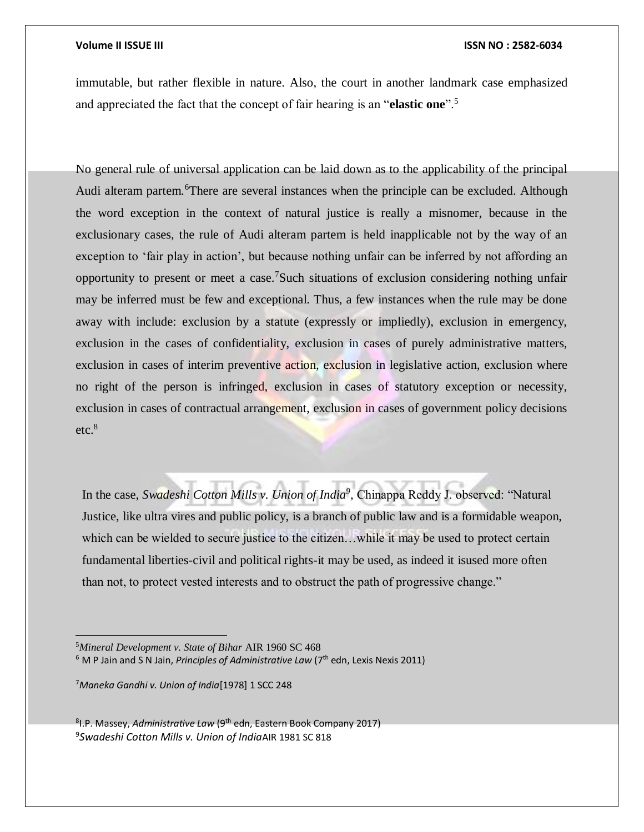immutable, but rather flexible in nature. Also, the court in another landmark case emphasized and appreciated the fact that the concept of fair hearing is an "**elastic one**".<sup>5</sup>

No general rule of universal application can be laid down as to the applicability of the principal Audi alteram partem.<sup>6</sup>There are several instances when the principle can be excluded. Although the word exception in the context of natural justice is really a misnomer, because in the exclusionary cases, the rule of Audi alteram partem is held inapplicable not by the way of an exception to 'fair play in action', but because nothing unfair can be inferred by not affording an opportunity to present or meet a case.<sup>7</sup>Such situations of exclusion considering nothing unfair may be inferred must be few and exceptional. Thus, a few instances when the rule may be done away with include: exclusion by a statute (expressly or impliedly), exclusion in emergency, exclusion in the cases of confidentiality, exclusion in cases of purely administrative matters, exclusion in cases of interim preventive action, exclusion in legislative action, exclusion where no right of the person is infringed, exclusion in cases of statutory exception or necessity, exclusion in cases of contractual arrangement, exclusion in cases of government policy decisions etc.<sup>8</sup>

In the case, *Swadeshi Cotton Mills v. Union of India<sup>9</sup>* , Chinappa Reddy J. observed: "Natural Justice, like ultra vires and public policy, is a branch of public law and is a formidable weapon, which can be wielded to secure justice to the citizen...while it may be used to protect certain fundamental liberties-civil and political rights-it may be used, as indeed it isused more often than not, to protect vested interests and to obstruct the path of progressive change."

<sup>7</sup>*Maneka Gandhi v. Union of India*[1978] 1 SCC 248

<sup>8</sup>I.P. Massey, *Administrative Law* (9<sup>th</sup> edn, Eastern Book Company 2017) 9 *Swadeshi Cotton Mills v. Union of India*AIR 1981 SC 818

<sup>5</sup>*Mineral Development v. State of Bihar* AIR 1960 SC 468

<sup>&</sup>lt;sup>6</sup> M P Jain and S N Jain*, Principles of Administrative Law (*7<sup>th</sup> edn, Lexis Nexis 2011)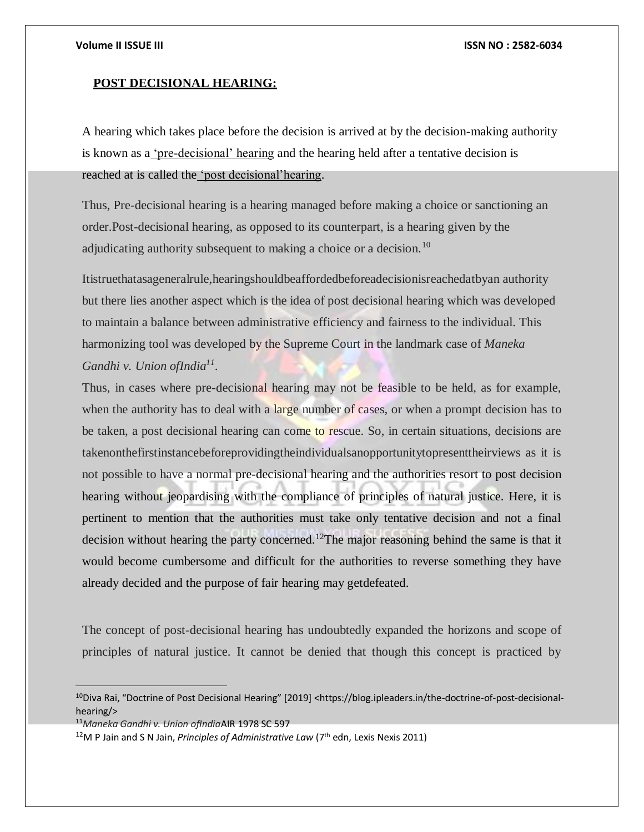# **POST DECISIONAL HEARING:**

A hearing which takes place before the decision is arrived at by the decision-making authority is known as a <u>'pre-decisional' hearing</u> and the hearing held after a tentative decision is reached at is called the 'post decisional'hearing.

Thus, Pre-decisional hearing is a hearing managed before making a choice or sanctioning an order.Post-decisional hearing, as opposed to its counterpart, is a hearing given by the adjudicating authority subsequent to making a choice or a decision.<sup>10</sup>

Itistruethatasageneralrule,hearingshouldbeaffordedbeforeadecisionisreachedatbyan authority but there lies another aspect which is the idea of post decisional hearing which was developed to maintain a balance between administrative efficiency and fairness to the individual. This harmonizing tool was developed by the Supreme Court in the landmark case of *Maneka Gandhi v. Union ofIndia<sup>11</sup>* .

Thus, in cases where pre-decisional hearing may not be feasible to be held, as for example, when the authority has to deal with a large number of cases, or when a prompt decision has to be taken, a post decisional hearing can come to rescue. So, in certain situations, decisions are takenonthefirstinstancebeforeprovidingtheindividualsanopportunitytopresenttheirviews as it is not possible to have a normal pre-decisional hearing and the authorities resort to post decision hearing without jeopardising with the compliance of principles of natural justice. Here, it is pertinent to mention that the authorities must take only tentative decision and not a final decision without hearing the party concerned.<sup>12</sup>The major reasoning behind the same is that it would become cumbersome and difficult for the authorities to reverse something they have already decided and the purpose of fair hearing may getdefeated.

The concept of post-decisional hearing has undoubtedly expanded the horizons and scope of principles of natural justice. It cannot be denied that though this concept is practiced by

<sup>&</sup>lt;sup>10</sup>Diva Rai, "Doctrine of Post Decisional Hearing" [2019] <https://blog.ipleaders.in/the-doctrine-of-post-decisionalhearing/>

<sup>11</sup>*Maneka Gandhi v. Union ofIndia*AIR 1978 SC 597

<sup>&</sup>lt;sup>12</sup>M P Jain and S N Jain, *Principles of Administrative Law* (7<sup>th</sup> edn, Lexis Nexis 2011)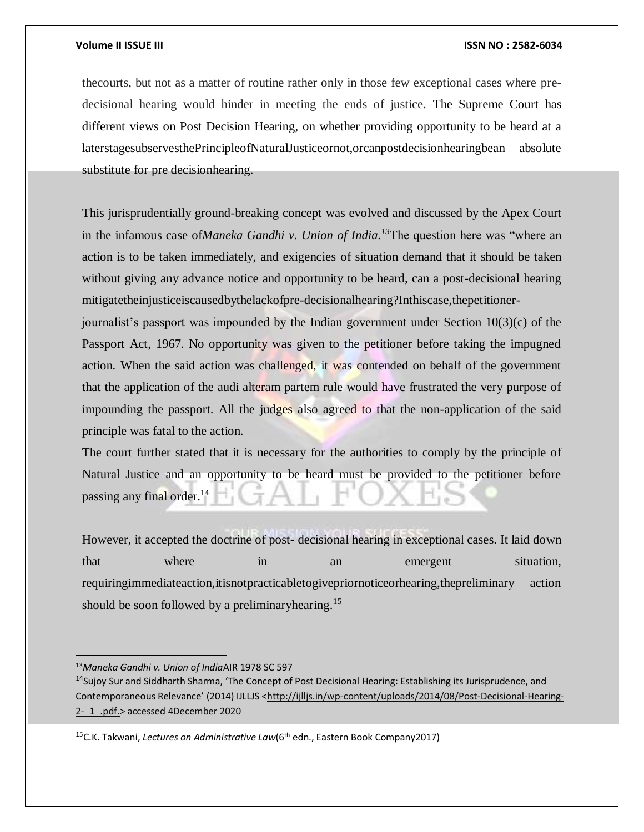thecourts, but not as a matter of routine rather only in those few exceptional cases where predecisional hearing would hinder in meeting the ends of justice. The Supreme Court has different views on Post Decision Hearing, on whether providing opportunity to be heard at a laterstagesubservesthePrincipleofNaturalJusticeornot,orcanpostdecisionhearingbean absolute substitute for pre decisionhearing.

This jurisprudentially ground-breaking concept was evolved and discussed by the Apex Court in the infamous case of*Maneka Gandhi v. Union of India.<sup>13</sup>*The question here was "where an action is to be taken immediately, and exigencies of situation demand that it should be taken without giving any advance notice and opportunity to be heard, can a post-decisional hearing mitigatetheinjusticeiscausedbythelackofpre-decisionalhearing?Inthiscase,thepetitioner-

journalist's passport was impounded by the Indian government under Section 10(3)(c) of the Passport Act, 1967. No opportunity was given to the petitioner before taking the impugned action. When the said action was challenged, it was contended on behalf of the government that the application of the audi alteram partem rule would have frustrated the very purpose of impounding the passport. All the judges also agreed to that the non-application of the said principle was fatal to the action.

The court further stated that it is necessary for the authorities to comply by the principle of Natural Justice and an opportunity to be heard must be provided to the petitioner before passing any final order.<sup>14</sup>

However, it accepted the doctrine of post- decisional hearing in exceptional cases. It laid down that where in an emergent situation, requiringimmediateaction,itisnotpracticabletogivepriornoticeorhearing,thepreliminary action should be soon followed by a preliminaryhearing.<sup>15</sup>

 $\overline{a}$ 

<sup>15</sup>C.K. Takwani, *Lectures on Administrative Law*(6<sup>th</sup> edn., Eastern Book Company2017)

<sup>13</sup>*Maneka Gandhi v. Union of India*AIR 1978 SC 597

<sup>&</sup>lt;sup>14</sup>Sujoy Sur and Siddharth Sharma, 'The Concept of Post Decisional Hearing: Establishing its Jurisprudence, and Contemporaneous Relevance' (2014) IJLLJS <[http://ijlljs.in/wp-content/uploads/2014/08/Post-Decisional-Hearing-](http://ijlljs.in/wp-content/uploads/2014/08/Post-Decisional-Hearing-2-_1_.pdf.)2- 1 .pdf.> accessed 4December 2020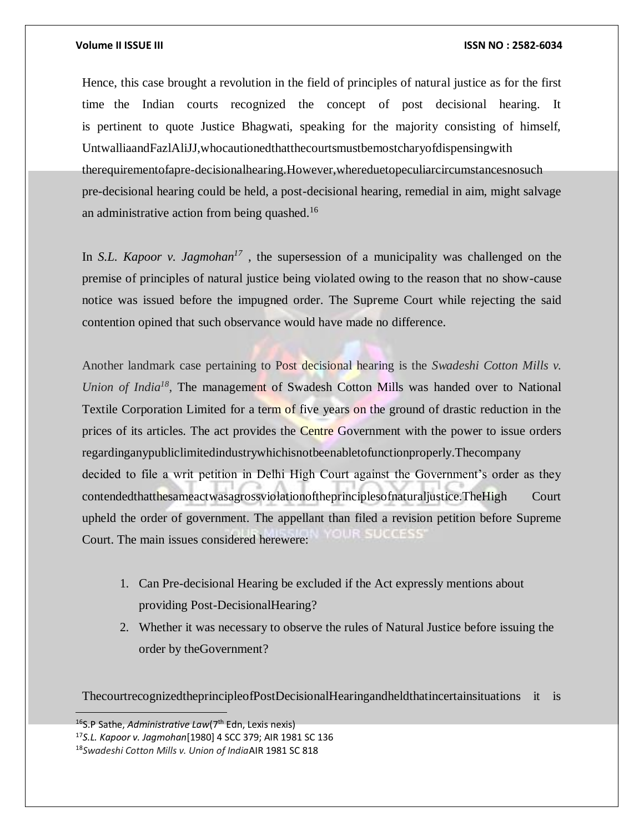Hence, this case brought a revolution in the field of principles of natural justice as for the first time the Indian courts recognized the concept of post decisional hearing. It is pertinent to quote Justice Bhagwati, speaking for the majority consisting of himself, UntwalliaandFazlAliJJ,whocautionedthatthecourtsmustbemostcharyofdispensingwith therequirementofapre-decisionalhearing.However,whereduetopeculiarcircumstancesnosuch pre-decisional hearing could be held, a post-decisional hearing, remedial in aim, might salvage an administrative action from being quashed.<sup>16</sup>

In *S.L. Kapoor v. Jagmohan<sup>17</sup>*, the supersession of a municipality was challenged on the premise of principles of natural justice being violated owing to the reason that no show-cause notice was issued before the impugned order. The Supreme Court while rejecting the said contention opined that such observance would have made no difference.

Another landmark case pertaining to Post decisional hearing is the *Swadeshi Cotton Mills v. Union of India<sup>18</sup>* , The management of Swadesh Cotton Mills was handed over to National Textile Corporation Limited for a term of five years on the ground of drastic reduction in the prices of its articles. The act provides the Centre Government with the power to issue orders regardinganypubliclimitedindustrywhichisnotbeenabletofunctionproperly.Thecompany decided to file a writ petition in Delhi High Court against the Government's order as they contendedthatthesameactwasagrossviolationoftheprinciplesofnaturaljustice.TheHigh Court upheld the order of government. The appellant than filed a revision petition before Supreme **OUR SUGGESS** Court. The main issues considered herewere:

- 1. Can Pre-decisional Hearing be excluded if the Act expressly mentions about providing Post-DecisionalHearing?
- 2. Whether it was necessary to observe the rules of Natural Justice before issuing the order by theGovernment?

ThecourtrecognizedtheprincipleofPostDecisionalHearingandheldthatincertainsituations it is

<sup>16</sup>S.P Sathe, *Administrative Law*(7th Edn, Lexis nexis)

<sup>17</sup>*S.L. Kapoor v. Jagmohan*[1980] 4 SCC 379; AIR 1981 SC 136

<sup>18</sup>*Swadeshi Cotton Mills v. Union of India*AIR 1981 SC 818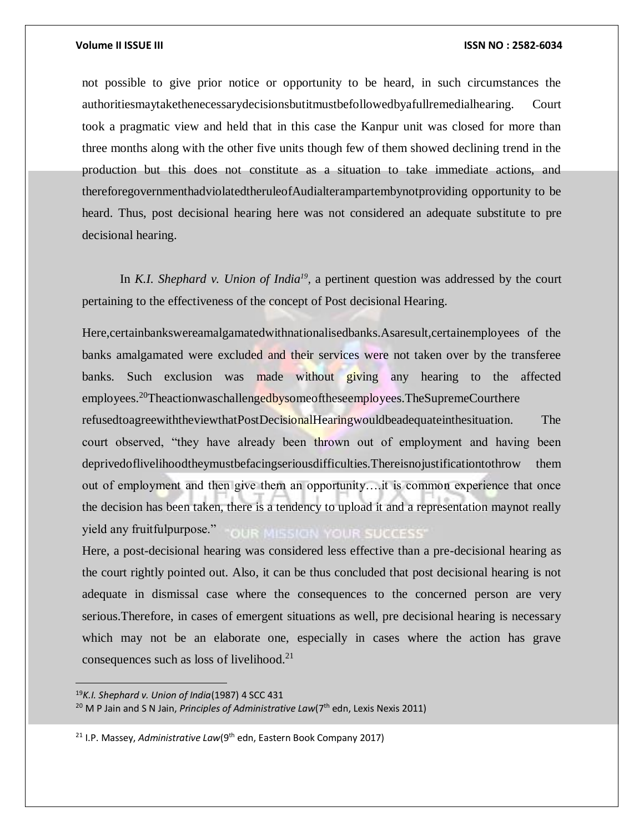not possible to give prior notice or opportunity to be heard, in such circumstances the authoritiesmaytakethenecessarydecisionsbutitmustbefollowedbyafullremedialhearing. Court took a pragmatic view and held that in this case the Kanpur unit was closed for more than three months along with the other five units though few of them showed declining trend in the production but this does not constitute as a situation to take immediate actions, and thereforegovernmenthadviolatedtheruleofAudialterampartembynotproviding opportunity to be heard. Thus, post decisional hearing here was not considered an adequate substitute to pre decisional hearing.

In *K.I. Shephard v. Union of India<sup>19</sup>*, a pertinent question was addressed by the court pertaining to the effectiveness of the concept of Post decisional Hearing.

Here,certainbankswereamalgamatedwithnationalisedbanks.Asaresult,certainemployees of the banks amalgamated were excluded and their services were not taken over by the transferee banks. Such exclusion was made without giving any hearing to the affected employees.<sup>20</sup>Theactionwaschallengedbysomeoftheseemployees.TheSupremeCourthere refusedtoagreewiththeviewthatPostDecisionalHearingwouldbeadequateinthesituation. The court observed, "they have already been thrown out of employment and having been deprivedoflivelihoodtheymustbefacingseriousdifficulties.Thereisnojustificationtothrow them out of employment and then give them an opportunity….it is common experience that once the decision has been taken, there is a tendency to upload it and a representation maynot really yield any fruitfulpurpose." **OUR MISSION YOUR SUCCESS'** 

Here, a post-decisional hearing was considered less effective than a pre-decisional hearing as the court rightly pointed out. Also, it can be thus concluded that post decisional hearing is not adequate in dismissal case where the consequences to the concerned person are very serious.Therefore, in cases of emergent situations as well, pre decisional hearing is necessary which may not be an elaborate one, especially in cases where the action has grave consequences such as loss of livelihood.<sup>21</sup>

<sup>19</sup>*K.I. Shephard v. Union of India*(1987) 4 SCC 431

<sup>&</sup>lt;sup>20</sup> M P Jain and S N Jain, *Principles of Administrative Law*(7<sup>th</sup> edn, Lexis Nexis 2011)

<sup>&</sup>lt;sup>21</sup> I.P. Massey, *Administrative Law*(9<sup>th</sup> edn, Eastern Book Company 2017)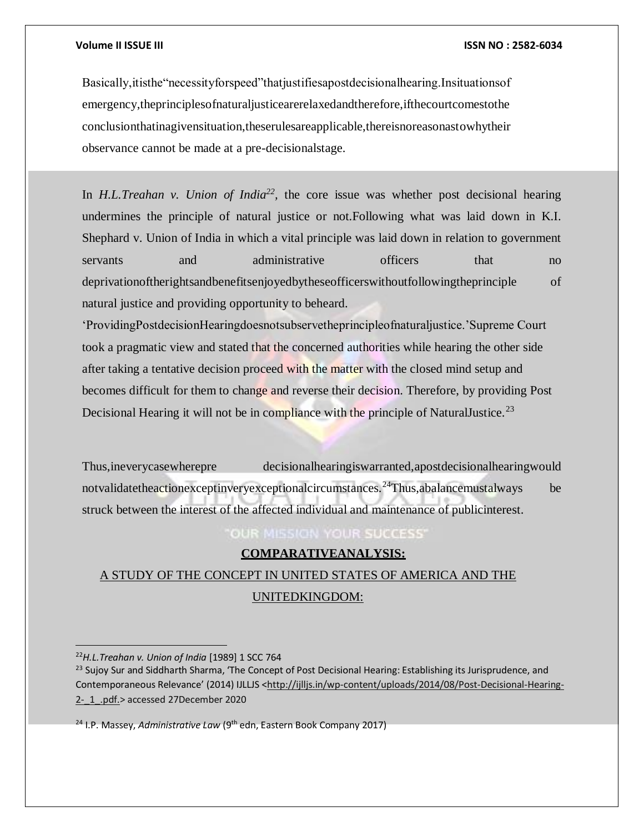Basically,itisthe"necessityforspeed"thatjustifiesapostdecisionalhearing.Insituationsof emergency,theprinciplesofnaturaljusticearerelaxedandtherefore,ifthecourtcomestothe conclusionthatinagivensituation,theserulesareapplicable,thereisnoreasonastowhytheir observance cannot be made at a pre-decisionalstage.

In *H.L.Treahan v. Union of India*<sup>22</sup>, the core issue was whether post decisional hearing undermines the principle of natural justice or not.Following what was laid down in K.I. Shephard v. Union of India in which a vital principle was laid down in relation to government servants and administrative officers that no deprivationoftherightsandbenefitsenjoyedbytheseofficerswithoutfollowingtheprinciple of natural justice and providing opportunity to beheard.

'ProvidingPostdecisionHearingdoesnotsubservetheprincipleofnaturaljustice.'Supreme Court took a pragmatic view and stated that the concerned authorities while hearing the other side after taking a tentative decision proceed with the matter with the closed mind setup and becomes difficult for them to change and reverse their decision. Therefore, by providing Post Decisional Hearing it will not be in compliance with the principle of NaturalJustice.<sup>23</sup>

Thus,ineverycasewherepre decisionalhearingiswarranted,apostdecisionalhearingwould notvalidatetheactionexceptinveryexceptionalcircumstances.<sup>24</sup>Thus,abalancemustalways be struck between the interest of the affected individual and maintenance of publicinterest.

**OUR MISSION YOUR SUCCESS** 

# **COMPARATIVEANALYSIS:**

# A STUDY OF THE CONCEPT IN UNITED STATES OF AMERICA AND THE UNITEDKINGDOM:

 $\overline{a}$ 

<sup>24</sup> I.P. Massey, *Administrative Law* (9<sup>th</sup> edn, Eastern Book Company 2017)

<sup>22</sup>*H.L.Treahan v. Union of India* [1989] 1 SCC 764

<sup>&</sup>lt;sup>23</sup> Sujoy Sur and Siddharth Sharma, 'The Concept of Post Decisional Hearing: Establishing its Jurisprudence, and Contemporaneous Relevance' (2014) IJLLJS <[http://ijlljs.in/wp-content/uploads/2014/08/Post-Decisional-Hearing-](http://ijlljs.in/wp-content/uploads/2014/08/Post-Decisional-Hearing-2-_1_.pdf.)[2-\\_1\\_.pdf.>](http://ijlljs.in/wp-content/uploads/2014/08/Post-Decisional-Hearing-2-_1_.pdf.) accessed 27December 2020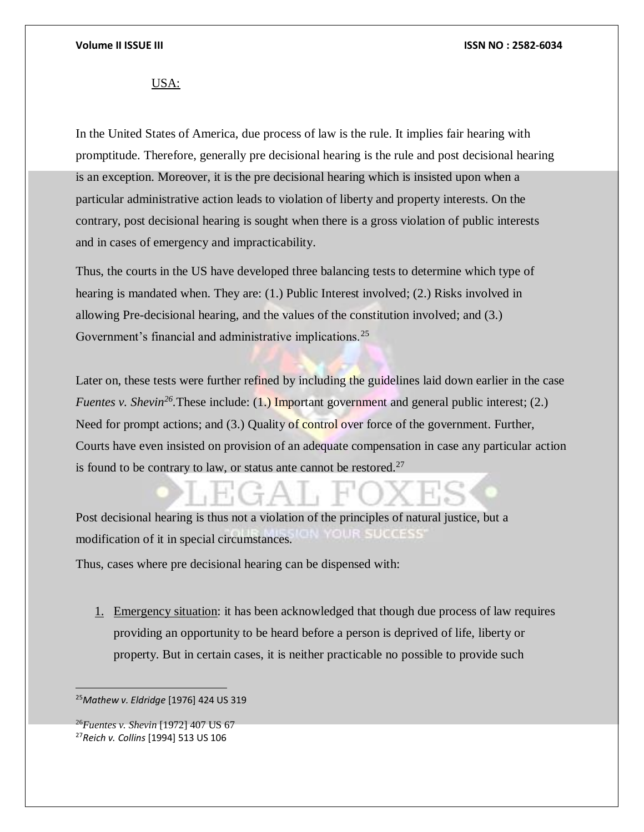# USA:

In the United States of America, due process of law is the rule. It implies fair hearing with promptitude. Therefore, generally pre decisional hearing is the rule and post decisional hearing is an exception. Moreover, it is the pre decisional hearing which is insisted upon when a particular administrative action leads to violation of liberty and property interests. On the contrary, post decisional hearing is sought when there is a gross violation of public interests and in cases of emergency and impracticability.

Thus, the courts in the US have developed three balancing tests to determine which type of hearing is mandated when. They are: (1.) Public Interest involved; (2.) Risks involved in allowing Pre-decisional hearing, and the values of the constitution involved; and (3.) Government's financial and administrative implications.<sup>25</sup>

Later on, these tests were further refined by including the guidelines laid down earlier in the case *Fuentes v. Shevin<sup>26</sup>*. These include: (1.) Important government and general public interest; (2.) Need for prompt actions; and (3.) Quality of control over force of the government. Further, Courts have even insisted on provision of an adequate compensation in case any particular action is found to be contrary to law, or status ante cannot be restored. $27$ 

Post decisional hearing is thus not a violation of the principles of natural justice, but a OUR SHOCESS modification of it in special circumstances.

Thus, cases where pre decisional hearing can be dispensed with:

1. Emergency situation: it has been acknowledged that though due process of law requires providing an opportunity to be heard before a person is deprived of life, liberty or property. But in certain cases, it is neither practicable no possible to provide such

<sup>25</sup>*Mathew v. Eldridge* [1976] 424 US 319

<sup>26</sup>*Fuentes v. Shevin* [1972] 407 US 67 <sup>27</sup>*Reich v. Collins* [1994] 513 US 106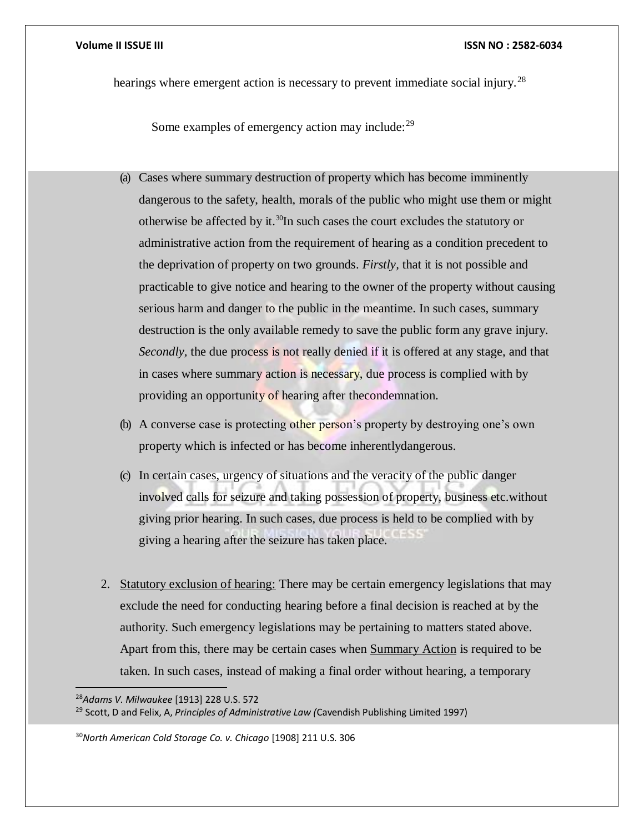hearings where emergent action is necessary to prevent immediate social injury.<sup>28</sup>

Some examples of emergency action may include:<sup>29</sup>

- (a) Cases where summary destruction of property which has become imminently dangerous to the safety, health, morals of the public who might use them or might otherwise be affected by it.<sup>30</sup>In such cases the court excludes the statutory or administrative action from the requirement of hearing as a condition precedent to the deprivation of property on two grounds. *Firstly,* that it is not possible and practicable to give notice and hearing to the owner of the property without causing serious harm and danger to the public in the meantime. In such cases, summary destruction is the only available remedy to save the public form any grave injury. *Secondly,* the due process is not really denied if it is offered at any stage, and that in cases where summary action is necessary, due process is complied with by providing an opportunity of hearing after thecondemnation.
- (b) A converse case is protecting other person's property by destroying one's own property which is infected or has become inherentlydangerous.
- (c) In certain cases, urgency of situations and the veracity of the public danger involved calls for seizure and taking possession of property, business etc.without giving prior hearing. In such cases, due process is held to be complied with by giving a hearing after the seizure has taken place.
- 2. Statutory exclusion of hearing: There may be certain emergency legislations that may exclude the need for conducting hearing before a final decision is reached at by the authority. Such emergency legislations may be pertaining to matters stated above. Apart from this, there may be certain cases when Summary Action is required to be taken. In such cases, instead of making a final order without hearing, a temporary

<sup>28</sup>*Adams V. Milwaukee* [1913] 228 U.S. 572 <sup>29</sup> Scott, D and Felix, A, *Principles of Administrative Law (*Cavendish Publishing Limited 1997)

<sup>30</sup>*North American Cold Storage Co. v. Chicago* [1908] 211 U.S. 306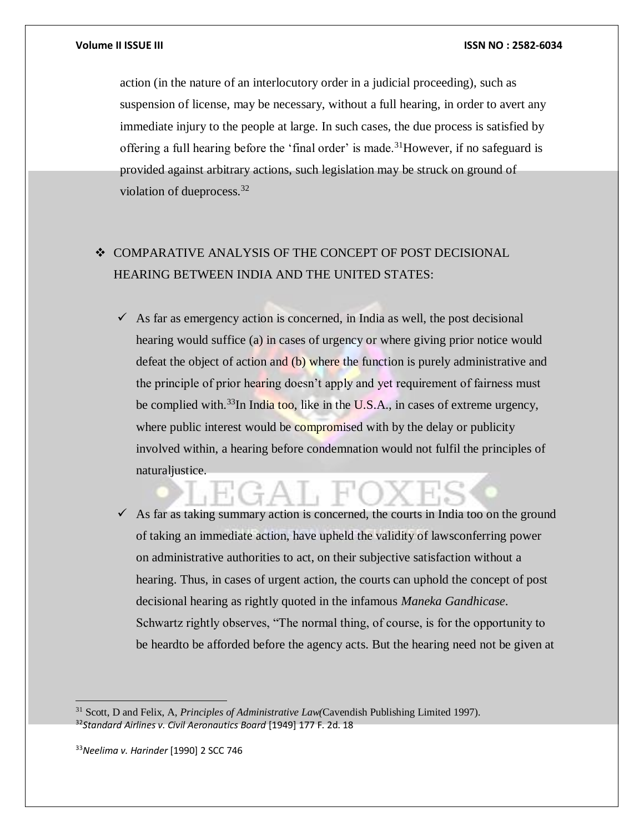action (in the nature of an interlocutory order in a judicial proceeding), such as suspension of license, may be necessary, without a full hearing, in order to avert any immediate injury to the people at large. In such cases, the due process is satisfied by offering a full hearing before the 'final order' is made.<sup>31</sup>However, if no safeguard is provided against arbitrary actions, such legislation may be struck on ground of violation of dueprocess.<sup>32</sup>

# $\div$  COMPARATIVE ANALYSIS OF THE CONCEPT OF POST DECISIONAL HEARING BETWEEN INDIA AND THE UNITED STATES:

 $\checkmark$  As far as emergency action is concerned, in India as well, the post decisional hearing would suffice (a) in cases of urgency or where giving prior notice would defeat the object of action and (b) where the function is purely administrative and the principle of prior hearing doesn't apply and yet requirement of fairness must be complied with.<sup>33</sup>In India too, like in the U.S.A., in cases of extreme urgency, where public interest would be compromised with by the delay or publicity involved within, a hearing before condemnation would not fulfil the principles of naturaljustice.

 $\checkmark$  As far as taking summary action is concerned, the courts in India too on the ground of taking an immediate action, have upheld the validity of lawsconferring power on administrative authorities to act, on their subjective satisfaction without a hearing. Thus, in cases of urgent action, the courts can uphold the concept of post decisional hearing as rightly quoted in the infamous *Maneka Gandhicase*. Schwartz rightly observes, "The normal thing, of course, is for the opportunity to be heardto be afforded before the agency acts. But the hearing need not be given at

<sup>31</sup> Scott, D and Felix, A, *Principles of Administrative Law(*Cavendish Publishing Limited 1997). <sup>32</sup>*Standard Airlines v. Civil Aeronautics Board* [1949] 177 F. 2d. 18

<sup>33</sup>*Neelima v. Harinder* [1990] 2 SCC 746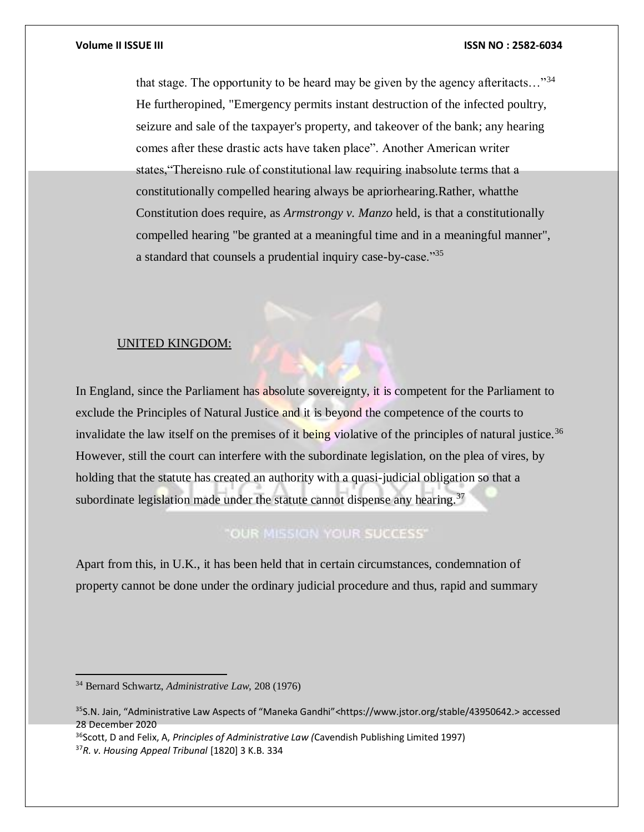that stage. The opportunity to be heard may be given by the agency afteritacts…"<sup>34</sup> He furtheropined, "Emergency permits instant destruction of the infected poultry, seizure and sale of the taxpayer's property, and takeover of the bank; any hearing comes after these drastic acts have taken place". Another American writer states,"Thereisno rule of constitutional law requiring inabsolute terms that a constitutionally compelled hearing always be apriorhearing.Rather, whatthe Constitution does require, as *Armstrongy v. Manzo* held, is that a constitutionally compelled hearing "be granted at a meaningful time and in a meaningful manner", a standard that counsels a prudential inquiry case-by-case."<sup>35</sup>

# UNITED KINGDOM:

In England, since the Parliament has absolute sovereignty, it is competent for the Parliament to exclude the Principles of Natural Justice and it is beyond the competence of the courts to invalidate the law itself on the premises of it being violative of the principles of natural justice.<sup>36</sup> However, still the court can interfere with the subordinate legislation, on the plea of vires, by holding that the statute has created an authority with a quasi-judicial obligation so that a subordinate legislation made under the statute cannot dispense any hearing.<sup>37</sup>

# "OUR MISSION YOUR SUCCESS"

Apart from this, in U.K., it has been held that in certain circumstances, condemnation of property cannot be done under the ordinary judicial procedure and thus, rapid and summary

<sup>36</sup>Scott, D and Felix, A, *Principles of Administrative Law (*Cavendish Publishing Limited 1997) <sup>37</sup>*R. v. Housing Appeal Tribunal* [1820] 3 K.B. 334

<sup>34</sup> Bernard Schwartz, *Administrative Law,* 208 (1976)

<sup>&</sup>lt;sup>35</sup>S.N. Jain, "Administrative Law Aspects of "Maneka Gandhi"<https:/[/www.jstor.org/stable/43950642.>](http://www.jstor.org/stable/43950642) accessed 28 December 2020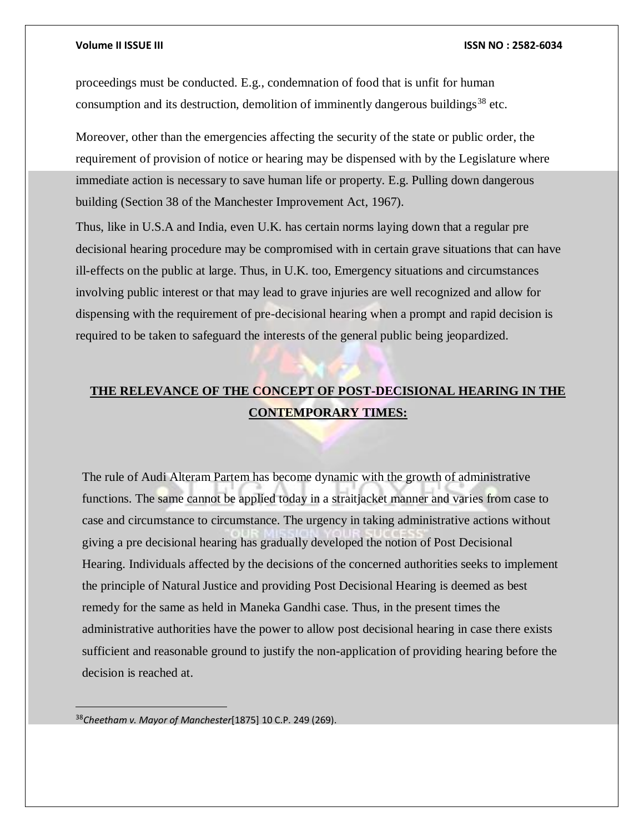proceedings must be conducted. E.g., condemnation of food that is unfit for human consumption and its destruction, demolition of imminently dangerous buildings<sup>38</sup> etc.

Moreover, other than the emergencies affecting the security of the state or public order, the requirement of provision of notice or hearing may be dispensed with by the Legislature where immediate action is necessary to save human life or property. E.g. Pulling down dangerous building (Section 38 of the Manchester Improvement Act, 1967).

Thus, like in U.S.A and India, even U.K. has certain norms laying down that a regular pre decisional hearing procedure may be compromised with in certain grave situations that can have ill-effects on the public at large. Thus, in U.K. too, Emergency situations and circumstances involving public interest or that may lead to grave injuries are well recognized and allow for dispensing with the requirement of pre-decisional hearing when a prompt and rapid decision is required to be taken to safeguard the interests of the general public being jeopardized.

# **THE RELEVANCE OF THE CONCEPT OF POST-DECISIONAL HEARING IN THE CONTEMPORARY TIMES:**

The rule of Audi Alteram Partem has become dynamic with the growth of administrative functions. The same cannot be applied today in a straitjacket manner and varies from case to case and circumstance to circumstance. The urgency in taking administrative actions without giving a pre decisional hearing has gradually developed the notion of Post Decisional Hearing. Individuals affected by the decisions of the concerned authorities seeks to implement the principle of Natural Justice and providing Post Decisional Hearing is deemed as best remedy for the same as held in Maneka Gandhi case. Thus, in the present times the administrative authorities have the power to allow post decisional hearing in case there exists sufficient and reasonable ground to justify the non-application of providing hearing before the decision is reached at.

<sup>38</sup>*Cheetham v. Mayor of Manchester*[1875] 10 C.P. 249 (269).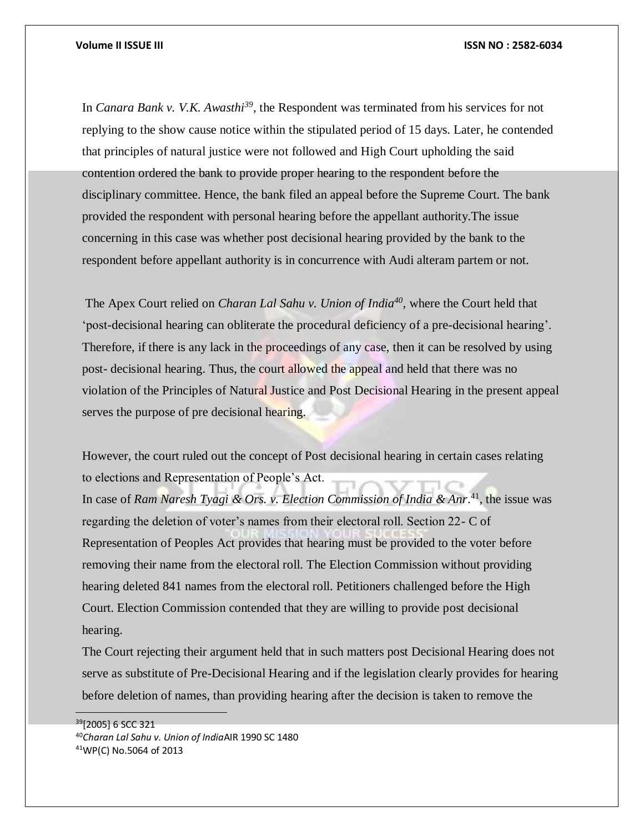In *Canara Bank v. V.K. Awasthi<sup>39</sup>* , the Respondent was terminated from his services for not replying to the show cause notice within the stipulated period of 15 days. Later, he contended that principles of natural justice were not followed and High Court upholding the said contention ordered the bank to provide proper hearing to the respondent before the disciplinary committee. Hence, the bank filed an appeal before the Supreme Court. The bank provided the respondent with personal hearing before the appellant authority.The issue concerning in this case was whether post decisional hearing provided by the bank to the respondent before appellant authority is in concurrence with Audi alteram partem or not.

The Apex Court relied on *Charan Lal Sahu v. Union of India<sup>40</sup>* , where the Court held that 'post-decisional hearing can obliterate the procedural deficiency of a pre-decisional hearing'. Therefore, if there is any lack in the proceedings of any case, then it can be resolved by using post- decisional hearing. Thus, the court allowed the appeal and held that there was no violation of the Principles of Natural Justice and Post Decisional Hearing in the present appeal serves the purpose of pre decisional hearing.

However, the court ruled out the concept of Post decisional hearing in certain cases relating to elections and Representation of People's Act.

In case of *Ram Naresh Tyagi & Ors. v. Election Commission of India & Anr.*<sup>41</sup>, the issue was regarding the deletion of voter's names from their electoral roll. Section 22- C of Representation of Peoples Act provides that hearing must be provided to the voter before removing their name from the electoral roll. The Election Commission without providing hearing deleted 841 names from the electoral roll. Petitioners challenged before the High Court. Election Commission contended that they are willing to provide post decisional hearing.

The Court rejecting their argument held that in such matters post Decisional Hearing does not serve as substitute of Pre-Decisional Hearing and if the legislation clearly provides for hearing before deletion of names, than providing hearing after the decision is taken to remove the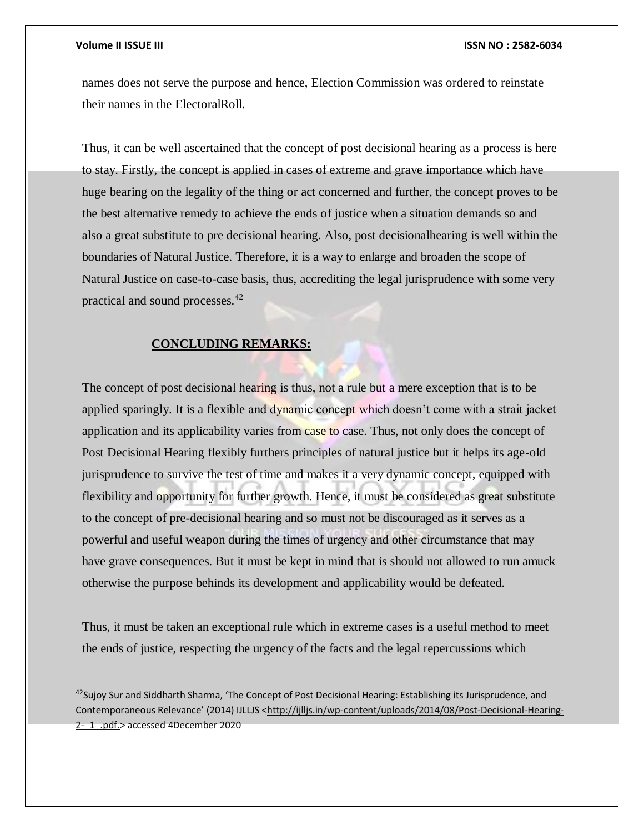$\overline{a}$ 

### **Volume II ISSUE III ISSN NO : 2582-6034**

names does not serve the purpose and hence, Election Commission was ordered to reinstate their names in the ElectoralRoll.

Thus, it can be well ascertained that the concept of post decisional hearing as a process is here to stay. Firstly, the concept is applied in cases of extreme and grave importance which have huge bearing on the legality of the thing or act concerned and further, the concept proves to be the best alternative remedy to achieve the ends of justice when a situation demands so and also a great substitute to pre decisional hearing. Also, post decisionalhearing is well within the boundaries of Natural Justice. Therefore, it is a way to enlarge and broaden the scope of Natural Justice on case-to-case basis, thus, accrediting the legal jurisprudence with some very practical and sound processes.<sup>42</sup>

## **CONCLUDING REMARKS:**

The concept of post decisional hearing is thus, not a rule but a mere exception that is to be applied sparingly. It is a flexible and dynamic concept which doesn't come with a strait jacket application and its applicability varies from case to case. Thus, not only does the concept of Post Decisional Hearing flexibly furthers principles of natural justice but it helps its age-old jurisprudence to survive the test of time and makes it a very dynamic concept, equipped with flexibility and opportunity for further growth. Hence, it must be considered as great substitute to the concept of pre-decisional hearing and so must not be discouraged as it serves as a powerful and useful weapon during the times of urgency and other circumstance that may have grave consequences. But it must be kept in mind that is should not allowed to run amuck otherwise the purpose behinds its development and applicability would be defeated.

Thus, it must be taken an exceptional rule which in extreme cases is a useful method to meet the ends of justice, respecting the urgency of the facts and the legal repercussions which

 $42$ Sujoy Sur and Siddharth Sharma, 'The Concept of Post Decisional Hearing: Establishing its Jurisprudence, and Contemporaneous Relevance' (2014) IJLLJS <[http://ijlljs.in/wp-content/uploads/2014/08/Post-Decisional-Hearing-](http://ijlljs.in/wp-content/uploads/2014/08/Post-Decisional-Hearing-2-_1_.pdf.)[2-\\_1\\_.pdf.>](http://ijlljs.in/wp-content/uploads/2014/08/Post-Decisional-Hearing-2-_1_.pdf.) accessed 4December 2020